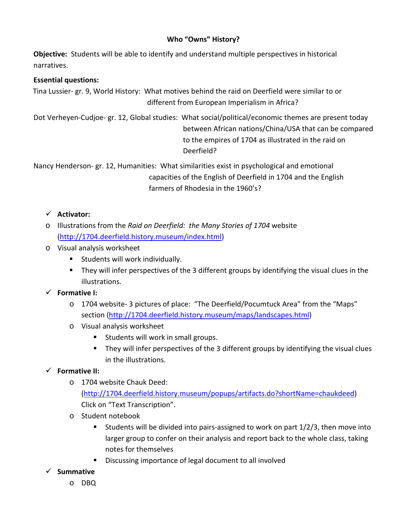## **Who "Owns" History?**

**Objective:** Students will be able to identify and understand multiple perspectives in historical narratives.

#### **Essential questions:**

 Tina Lussier- gr. 9, World History: What motives behind the raid on Deerfield were similar to or different from European Imperialism in Africa?

Dot Verheyen-Cudjoe- gr. 12, Global studies: What social/political/economic themes are present today between African nations/China/USA that can be compared to the empires of 1704 as illustrated in the raid on Deerfield?

Nancy Henderson- gr. 12, Humanities: What similarities exist in psychological and emotional capacities of the English of Deerfield in 1704 and the English farmers of Rhodesia in the 1960's?

### **Activator:**

- o Illustrations from the *Raid on Deerfield: the Many Stories of 1704* website [\(http://1704.deerfield.history.museum/index.html\)](http://1704.deerfield.history.museum/index.html)
- o Visual analysis worksheet
	- **Students will work individually.**
	- They will infer perspectives of the 3 different groups by identifying the visual clues in the illustrations.

### **Formative I:**

- o 1704 website- 3 pictures of place: "The Deerfield/Pocumtuck Area" from the "Maps" section [\(http://1704.deerfield.history.museum/maps/landscapes.html\)](http://1704.deerfield.history.museum/maps/landscapes.html)
- o Visual analysis worksheet
	- **Students will work in small groups.**
	- They will infer perspectives of the 3 different groups by identifying the visual clues in the illustrations.

# **Formative II:**

- o 1704 website Chauk Deed: [\(http://1704.deerfield.history.museum/popups/artifacts.do?shortName=chaukdeed\)](http://1704.deerfield.history.museum/popups/artifacts.do?shortName=chaukdeed) Click on "Text Transcription".
- o Student notebook
	- Students will be divided into pairs-assigned to work on part  $1/2/3$ , then move into larger group to confer on their analysis and report back to the whole class, taking notes for themselves
	- **Discussing importance of legal document to all involved**
- **Summative**
	- o DBQ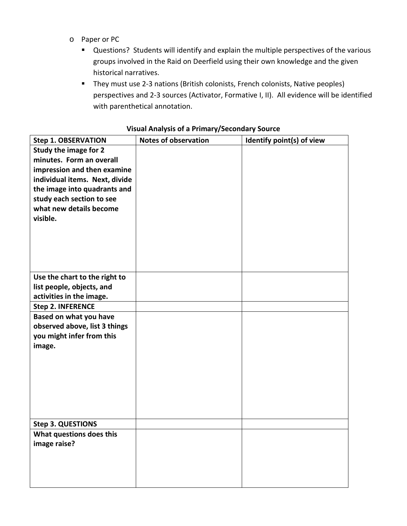- o Paper or PC
	- Questions? Students will identify and explain the multiple perspectives of the various groups involved in the Raid on Deerfield using their own knowledge and the given historical narratives.
	- **They must use 2-3 nations (British colonists, French colonists, Native peoples)** perspectives and 2-3 sources (Activator, Formative I, II). All evidence will be identified with parenthetical annotation.

| <b>Step 1. OBSERVATION</b>     | <b>Notes of observation</b> | Identify point(s) of view |
|--------------------------------|-----------------------------|---------------------------|
| Study the image for 2          |                             |                           |
| minutes. Form an overall       |                             |                           |
| impression and then examine    |                             |                           |
| individual items. Next, divide |                             |                           |
| the image into quadrants and   |                             |                           |
| study each section to see      |                             |                           |
| what new details become        |                             |                           |
| visible.                       |                             |                           |
|                                |                             |                           |
|                                |                             |                           |
|                                |                             |                           |
|                                |                             |                           |
| Use the chart to the right to  |                             |                           |
| list people, objects, and      |                             |                           |
| activities in the image.       |                             |                           |
| <b>Step 2. INFERENCE</b>       |                             |                           |
| Based on what you have         |                             |                           |
| observed above, list 3 things  |                             |                           |
| you might infer from this      |                             |                           |
| image.                         |                             |                           |
|                                |                             |                           |
|                                |                             |                           |
|                                |                             |                           |
|                                |                             |                           |
|                                |                             |                           |
|                                |                             |                           |
|                                |                             |                           |
| <b>Step 3. QUESTIONS</b>       |                             |                           |
| What questions does this       |                             |                           |
| image raise?                   |                             |                           |
|                                |                             |                           |
|                                |                             |                           |
|                                |                             |                           |

#### **Visual Analysis of a Primary/Secondary Source**